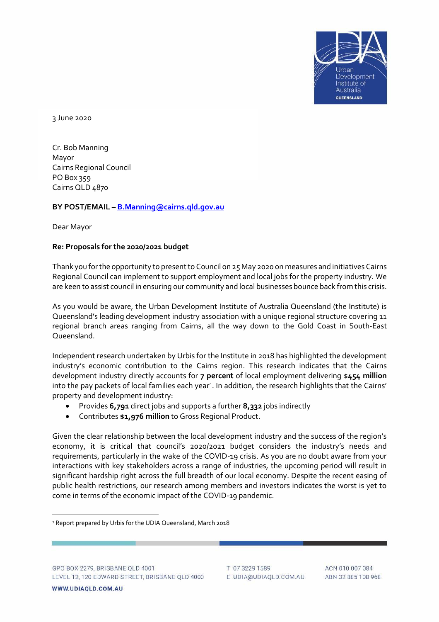

3 June 2020

Cr. Bob Manning Mayor Cairns Regional Council PO Box 359 Cairns QLD 4870

## **BY POST/EMAIL – [B.Manning@cairns.qld.gov.au](mailto:B.Manning@cairns.qld.gov.au)**

Dear Mayor

## **Re: Proposals for the 2020/2021 budget**

Thank you for the opportunity to present to Council on 25 May 2020 on measures and initiatives Cairns Regional Council can implement to support employment and local jobs for the property industry. We are keen to assist council in ensuring our community and local businesses bounce back from this crisis.

As you would be aware, the Urban Development Institute of Australia Queensland (the Institute) is Queensland's leading development industry association with a unique regional structure covering 11 regional branch areas ranging from Cairns, all the way down to the Gold Coast in South-East Queensland.

Independent research undertaken by Urbis for the Institute in 2018 has highlighted the development industry's economic contribution to the Cairns region. This research indicates that the Cairns development industry directly accounts for **7 percent** of local employment delivering \$**454 million** into the pay packets of local families each year $^{\rm a}$ . In addition, the research highlights that the Cairns' property and development industry:

- Provides **6,791** direct jobs and supports a further **8,332** jobs indirectly
- Contributes **\$1,976 million** to Gross Regional Product.

Given the clear relationship between the local development industry and the success of the region's economy, it is critical that council's 2020/2021 budget considers the industry's needs and requirements, particularly in the wake of the COVID-19 crisis. As you are no doubt aware from your interactions with key stakeholders across a range of industries, the upcoming period will result in significant hardship right across the full breadth of our local economy. Despite the recent easing of public health restrictions, our research among members and investors indicates the worst is yet to come in terms of the economic impact of the COVID-19 pandemic.

<sup>&</sup>lt;sup>1</sup> Report prepared by Urbis for the UDIA Queensland, March 2018